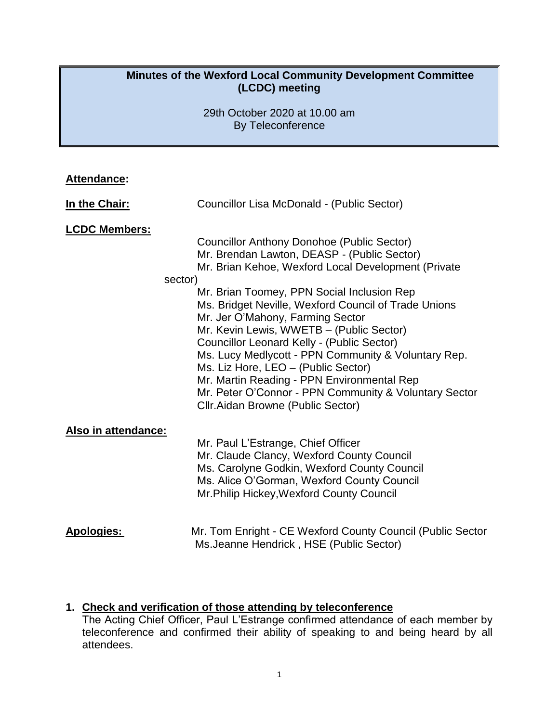## **Minutes of the Wexford Local Community Development Committee (LCDC) meeting**

29th October 2020 at 10.00 am By Teleconference

| <b>Attendance:</b>              |                                                                                                                                                                                                                                                                                                                                                                                                                                                                                                                                         |
|---------------------------------|-----------------------------------------------------------------------------------------------------------------------------------------------------------------------------------------------------------------------------------------------------------------------------------------------------------------------------------------------------------------------------------------------------------------------------------------------------------------------------------------------------------------------------------------|
| In the Chair:                   | Councillor Lisa McDonald - (Public Sector)                                                                                                                                                                                                                                                                                                                                                                                                                                                                                              |
| <b>LCDC Members:</b><br>sector) | <b>Councillor Anthony Donohoe (Public Sector)</b><br>Mr. Brendan Lawton, DEASP - (Public Sector)<br>Mr. Brian Kehoe, Wexford Local Development (Private<br>Mr. Brian Toomey, PPN Social Inclusion Rep<br>Ms. Bridget Neville, Wexford Council of Trade Unions<br>Mr. Jer O'Mahony, Farming Sector<br>Mr. Kevin Lewis, WWETB - (Public Sector)<br>Councillor Leonard Kelly - (Public Sector)<br>Ms. Lucy Medlycott - PPN Community & Voluntary Rep.<br>Ms. Liz Hore, LEO - (Public Sector)<br>Mr. Martin Reading - PPN Environmental Rep |
|                                 | Mr. Peter O'Connor - PPN Community & Voluntary Sector<br>Cllr. Aidan Browne (Public Sector)                                                                                                                                                                                                                                                                                                                                                                                                                                             |
| Also in attendance:             | Mr. Paul L'Estrange, Chief Officer<br>Mr. Claude Clancy, Wexford County Council<br>Ms. Carolyne Godkin, Wexford County Council<br>Ms. Alice O'Gorman, Wexford County Council<br>Mr. Philip Hickey, Wexford County Council                                                                                                                                                                                                                                                                                                               |
| <b>Apologies:</b>               | Mr. Tom Enright - CE Wexford County Council (Public Sector<br>Ms. Jeanne Hendrick, HSE (Public Sector)                                                                                                                                                                                                                                                                                                                                                                                                                                  |

### **1. Check and verification of those attending by teleconference**

The Acting Chief Officer, Paul L'Estrange confirmed attendance of each member by teleconference and confirmed their ability of speaking to and being heard by all attendees.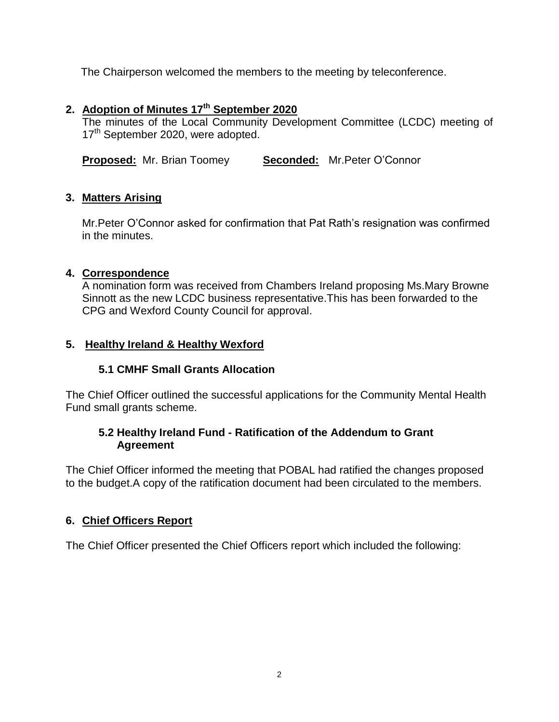The Chairperson welcomed the members to the meeting by teleconference.

# **2. Adoption of Minutes 17th September 2020**

The minutes of the Local Community Development Committee (LCDC) meeting of 17<sup>th</sup> September 2020, were adopted.

**Proposed:** Mr. Brian Toomey **Seconded:** Mr. Peter O'Connor

## **3. Matters Arising**

Mr.Peter O'Connor asked for confirmation that Pat Rath's resignation was confirmed in the minutes.

# **4. Correspondence**

A nomination form was received from Chambers Ireland proposing Ms.Mary Browne Sinnott as the new LCDC business representative.This has been forwarded to the CPG and Wexford County Council for approval.

## **5. Healthy Ireland & Healthy Wexford**

# **5.1 CMHF Small Grants Allocation**

The Chief Officer outlined the successful applications for the Community Mental Health Fund small grants scheme.

# **5.2 Healthy Ireland Fund - Ratification of the Addendum to Grant Agreement**

The Chief Officer informed the meeting that POBAL had ratified the changes proposed to the budget.A copy of the ratification document had been circulated to the members.

# **6. Chief Officers Report**

The Chief Officer presented the Chief Officers report which included the following: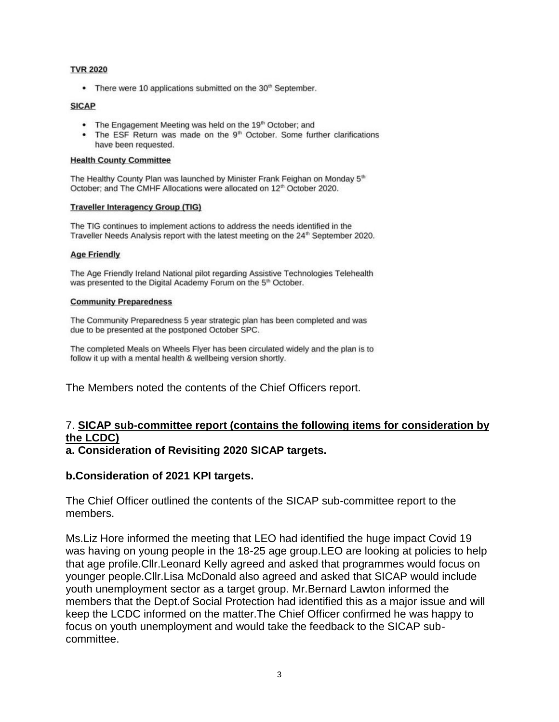#### **TVR 2020**

• There were 10 applications submitted on the 30<sup>th</sup> September.

#### **SICAP**

- The Engagement Meeting was held on the 19th October; and
- The ESF Return was made on the 9<sup>th</sup> October. Some further clarifications have been requested.

#### **Health County Committee**

The Healthy County Plan was launched by Minister Frank Feighan on Monday 5<sup>th</sup> October; and The CMHF Allocations were allocated on 12<sup>th</sup> October 2020.

#### **Traveller Interagency Group (TIG)**

The TIG continues to implement actions to address the needs identified in the Traveller Needs Analysis report with the latest meeting on the 24<sup>th</sup> September 2020.

#### **Age Friendly**

The Age Friendly Ireland National pilot regarding Assistive Technologies Telehealth was presented to the Digital Academy Forum on the 5<sup>th</sup> October.

#### **Community Preparedness**

The Community Preparedness 5 year strategic plan has been completed and was due to be presented at the postponed October SPC.

The completed Meals on Wheels Flyer has been circulated widely and the plan is to follow it up with a mental health & wellbeing version shortly.

The Members noted the contents of the Chief Officers report.

## 7. **SICAP sub-committee report (contains the following items for consideration by the LCDC)**

**a. Consideration of Revisiting 2020 SICAP targets.**

### **b.Consideration of 2021 KPI targets.**

The Chief Officer outlined the contents of the SICAP sub-committee report to the members.

Ms.Liz Hore informed the meeting that LEO had identified the huge impact Covid 19 was having on young people in the 18-25 age group.LEO are looking at policies to help that age profile.Cllr.Leonard Kelly agreed and asked that programmes would focus on younger people.Cllr.Lisa McDonald also agreed and asked that SICAP would include youth unemployment sector as a target group. Mr.Bernard Lawton informed the members that the Dept.of Social Protection had identified this as a major issue and will keep the LCDC informed on the matter.The Chief Officer confirmed he was happy to focus on youth unemployment and would take the feedback to the SICAP subcommittee.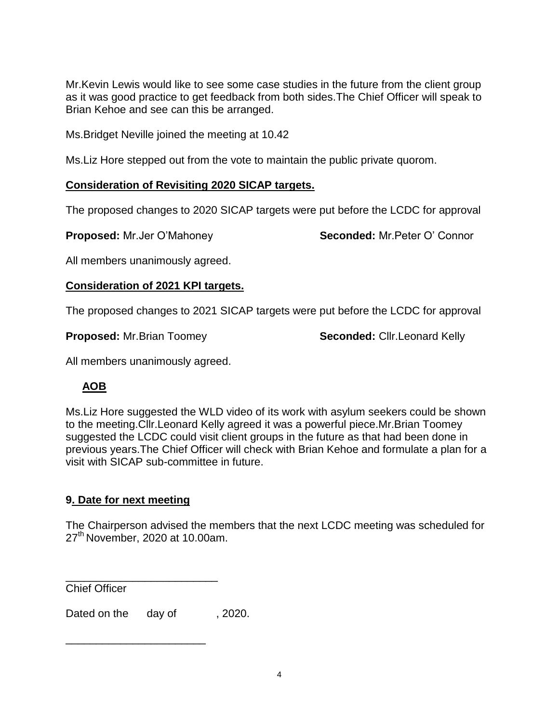Mr.Kevin Lewis would like to see some case studies in the future from the client group as it was good practice to get feedback from both sides.The Chief Officer will speak to Brian Kehoe and see can this be arranged.

Ms.Bridget Neville joined the meeting at 10.42

Ms.Liz Hore stepped out from the vote to maintain the public private quorom.

## **Consideration of Revisiting 2020 SICAP targets.**

The proposed changes to 2020 SICAP targets were put before the LCDC for approval

**Proposed:** Mr.Jer O'Mahoney **Seconded:** Mr.Peter O' Connor

All members unanimously agreed.

## **Consideration of 2021 KPI targets.**

The proposed changes to 2021 SICAP targets were put before the LCDC for approval

**Proposed:** Mr.Brian Toomey **Seconded:** Cllr.Leonard Kelly

All members unanimously agreed.

# **AOB**

Ms.Liz Hore suggested the WLD video of its work with asylum seekers could be shown to the meeting.Cllr.Leonard Kelly agreed it was a powerful piece.Mr.Brian Toomey suggested the LCDC could visit client groups in the future as that had been done in previous years.The Chief Officer will check with Brian Kehoe and formulate a plan for a visit with SICAP sub-committee in future.

# **9. Date for next meeting**

The Chairperson advised the members that the next LCDC meeting was scheduled for 27<sup>th</sup> November, 2020 at 10.00am.

Chief Officer

Dated on the day of , 2020.

\_\_\_\_\_\_\_\_\_\_\_\_\_\_\_\_\_\_\_\_\_\_\_\_\_

\_\_\_\_\_\_\_\_\_\_\_\_\_\_\_\_\_\_\_\_\_\_\_